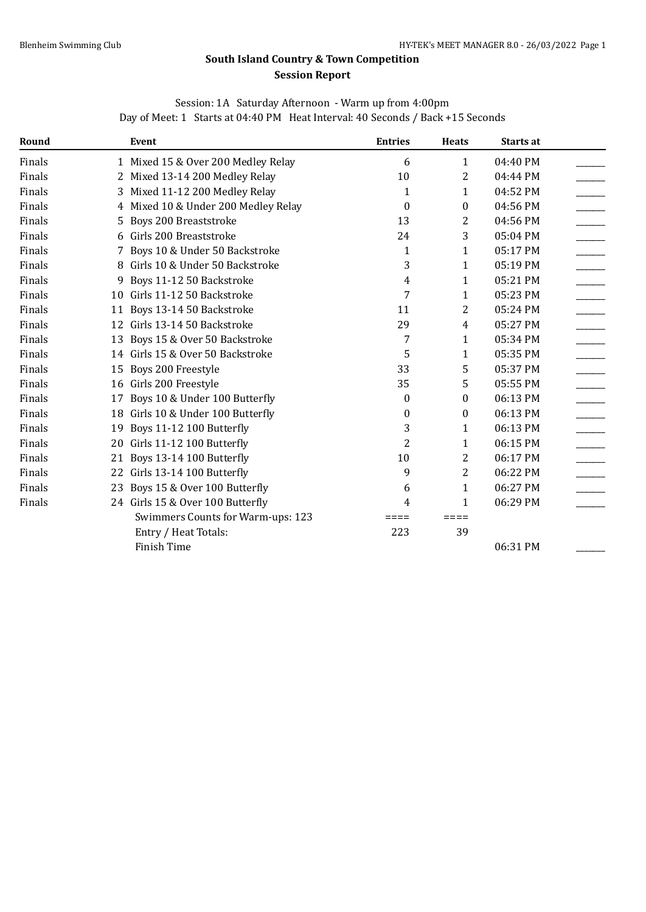# **South Island Country & Town Competition Session Report**

|  | Session: 1A Saturday Afternoon - Warm up from 4:00pm |                                                                                |  |
|--|------------------------------------------------------|--------------------------------------------------------------------------------|--|
|  |                                                      | Day of Meet: 1 Starts at 04:40 PM Heat Interval: 40 Seconds / Back +15 Seconds |  |

| Round  |    | Event                              | <b>Entries</b> | <b>Heats</b>   | Starts at |  |
|--------|----|------------------------------------|----------------|----------------|-----------|--|
| Finals |    | 1 Mixed 15 & Over 200 Medley Relay | 6              | 1              | 04:40 PM  |  |
| Finals | 2  | Mixed 13-14 200 Medley Relay       | 10             | 2              | 04:44 PM  |  |
| Finals | 3  | Mixed 11-12 200 Medley Relay       | 1              | 1              | 04:52 PM  |  |
| Finals | 4  | Mixed 10 & Under 200 Medley Relay  | $\theta$       | 0              | 04:56 PM  |  |
| Finals | 5. | <b>Boys 200 Breaststroke</b>       | 13             | 2              | 04:56 PM  |  |
| Finals | 6  | Girls 200 Breaststroke             | 24             | 3              | 05:04 PM  |  |
| Finals |    | Boys 10 & Under 50 Backstroke      | $\mathbf{1}$   | 1              | 05:17 PM  |  |
| Finals | 8  | Girls 10 & Under 50 Backstroke     | 3              | 1              | 05:19 PM  |  |
| Finals | 9  | Boys 11-12 50 Backstroke           | 4              | 1              | 05:21 PM  |  |
| Finals |    | 10 Girls 11-12 50 Backstroke       | 7              | 1              | 05:23 PM  |  |
| Finals |    | 11 Boys 13-14 50 Backstroke        | 11             | 2              | 05:24 PM  |  |
| Finals |    | 12 Girls 13-14 50 Backstroke       | 29             | $\overline{4}$ | 05:27 PM  |  |
| Finals | 13 | Boys 15 & Over 50 Backstroke       | 7              | 1              | 05:34 PM  |  |
| Finals |    | 14 Girls 15 & Over 50 Backstroke   | 5              | 1              | 05:35 PM  |  |
| Finals | 15 | Boys 200 Freestyle                 | 33             | 5              | 05:37 PM  |  |
| Finals |    | 16 Girls 200 Freestyle             | 35             | 5              | 05:55 PM  |  |
| Finals | 17 | Boys 10 & Under 100 Butterfly      | 0              | 0              | 06:13 PM  |  |
| Finals | 18 | Girls 10 & Under 100 Butterfly     | 0              | 0              | 06:13 PM  |  |
| Finals | 19 | Boys 11-12 100 Butterfly           | 3              | 1              | 06:13 PM  |  |
| Finals |    | 20 Girls 11-12 100 Butterfly       | $\overline{2}$ | 1              | 06:15 PM  |  |
| Finals | 21 | Boys 13-14 100 Butterfly           | 10             | 2              | 06:17 PM  |  |
| Finals |    | 22 Girls 13-14 100 Butterfly       | 9              | 2              | 06:22 PM  |  |
| Finals |    | 23 Boys 15 & Over 100 Butterfly    | 6              | 1              | 06:27 PM  |  |
| Finals |    | 24 Girls 15 & Over 100 Butterfly   | 4              | 1              | 06:29 PM  |  |
|        |    | Swimmers Counts for Warm-ups: 123  |                | ====           |           |  |
|        |    | Entry / Heat Totals:               | 223            | 39             |           |  |
|        |    | <b>Finish Time</b>                 |                |                | 06:31 PM  |  |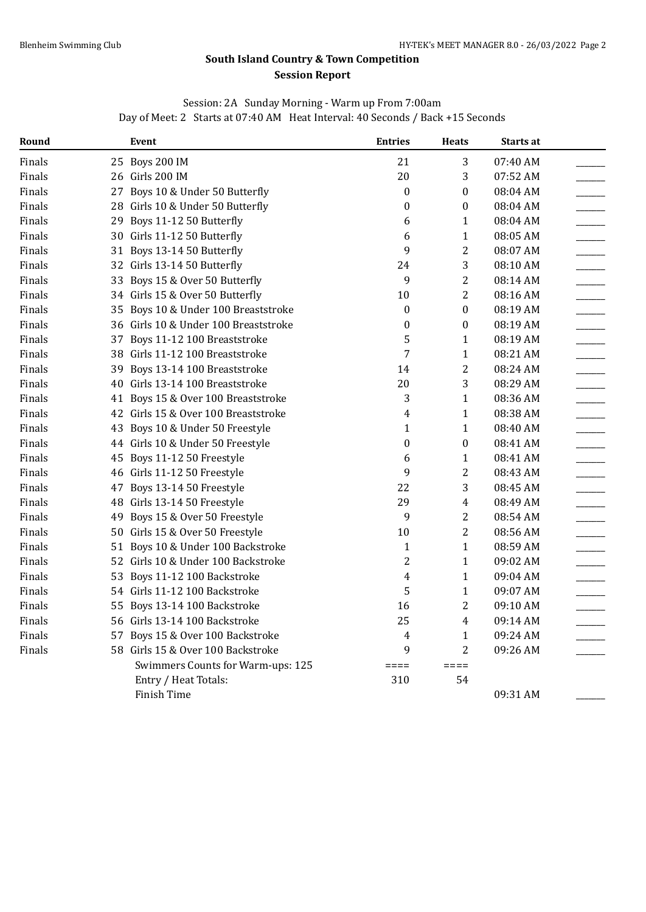### **South Island Country & Town Competition Session Report**

### Session: 2A Sunday Morning - Warm up From 7:00am Day of Meet: 2 Starts at 07:40 AM Heat Interval: 40 Seconds / Back +15 Seconds

| Round  |    | Event                                | <b>Entries</b>          | <b>Heats</b>     | Starts at |  |
|--------|----|--------------------------------------|-------------------------|------------------|-----------|--|
| Finals |    | 25 Boys 200 IM                       | 21                      | 3                | 07:40 AM  |  |
| Finals |    | 26 Girls 200 IM                      | 20                      | 3                | 07:52 AM  |  |
| Finals |    | 27 Boys 10 & Under 50 Butterfly      | $\boldsymbol{0}$        | $\boldsymbol{0}$ | 08:04 AM  |  |
| Finals |    | 28 Girls 10 & Under 50 Butterfly     | $\boldsymbol{0}$        | $\boldsymbol{0}$ | 08:04 AM  |  |
| Finals | 29 | Boys 11-12 50 Butterfly              | 6                       | $\mathbf{1}$     | 08:04 AM  |  |
| Finals |    | 30 Girls 11-12 50 Butterfly          | 6                       | $\mathbf{1}$     | 08:05 AM  |  |
| Finals |    | 31 Boys 13-14 50 Butterfly           | 9                       | $\overline{2}$   | 08:07 AM  |  |
| Finals |    | 32 Girls 13-14 50 Butterfly          | 24                      | 3                | 08:10 AM  |  |
| Finals |    | 33 Boys 15 & Over 50 Butterfly       | 9                       | $\overline{2}$   | 08:14 AM  |  |
| Finals |    | 34 Girls 15 & Over 50 Butterfly      | 10                      | $\overline{2}$   | 08:16 AM  |  |
| Finals |    | 35 Boys 10 & Under 100 Breaststroke  | $\boldsymbol{0}$        | $\boldsymbol{0}$ | 08:19 AM  |  |
| Finals |    | 36 Girls 10 & Under 100 Breaststroke | 0                       | $\boldsymbol{0}$ | 08:19 AM  |  |
| Finals |    | 37 Boys 11-12 100 Breaststroke       | 5                       | $\mathbf{1}$     | 08:19 AM  |  |
| Finals |    | 38 Girls 11-12 100 Breaststroke      | $\overline{7}$          | $\mathbf{1}$     | 08:21 AM  |  |
| Finals |    | 39 Boys 13-14 100 Breaststroke       | 14                      | $\overline{2}$   | 08:24 AM  |  |
| Finals |    | 40 Girls 13-14 100 Breaststroke      | 20                      | 3                | 08:29 AM  |  |
| Finals |    | 41 Boys 15 & Over 100 Breaststroke   | 3                       | $\mathbf{1}$     | 08:36 AM  |  |
| Finals |    | 42 Girls 15 & Over 100 Breaststroke  | 4                       | $\mathbf{1}$     | 08:38 AM  |  |
| Finals |    | 43 Boys 10 & Under 50 Freestyle      | $\mathbf{1}$            | $\mathbf{1}$     | 08:40 AM  |  |
| Finals |    | 44 Girls 10 & Under 50 Freestyle     | $\boldsymbol{0}$        | $\bf{0}$         | 08:41 AM  |  |
| Finals |    | 45 Boys 11-12 50 Freestyle           | 6                       | 1                | 08:41 AM  |  |
| Finals |    | 46 Girls 11-12 50 Freestyle          | 9                       | $\sqrt{2}$       | 08:43 AM  |  |
| Finals |    | 47 Boys 13-14 50 Freestyle           | 22                      | 3                | 08:45 AM  |  |
| Finals | 48 | Girls 13-14 50 Freestyle             | 29                      | $\overline{4}$   | 08:49 AM  |  |
| Finals | 49 | Boys 15 & Over 50 Freestyle          | 9                       | $\sqrt{2}$       | 08:54 AM  |  |
| Finals | 50 | Girls 15 & Over 50 Freestyle         | 10                      | $\overline{2}$   | 08:56 AM  |  |
| Finals |    | 51 Boys 10 & Under 100 Backstroke    | $\mathbf{1}$            | $\mathbf{1}$     | 08:59 AM  |  |
| Finals |    | 52 Girls 10 & Under 100 Backstroke   | 2                       | $\mathbf{1}$     | 09:02 AM  |  |
| Finals | 53 | Boys 11-12 100 Backstroke            | $\overline{\mathbf{4}}$ | $\mathbf{1}$     | 09:04 AM  |  |
| Finals |    | 54 Girls 11-12 100 Backstroke        | 5                       | $\mathbf{1}$     | 09:07 AM  |  |
| Finals | 55 | Boys 13-14 100 Backstroke            | 16                      | $\overline{2}$   | 09:10 AM  |  |
| Finals |    | 56 Girls 13-14 100 Backstroke        | 25                      | $\overline{4}$   | 09:14 AM  |  |
| Finals | 57 | Boys 15 & Over 100 Backstroke        | $\overline{4}$          | $\mathbf{1}$     | 09:24 AM  |  |
| Finals |    | 58 Girls 15 & Over 100 Backstroke    | 9                       | $\overline{2}$   | 09:26 AM  |  |
|        |    | Swimmers Counts for Warm-ups: 125    | $====$                  | $====$           |           |  |
|        |    | Entry / Heat Totals:                 | 310                     | 54               |           |  |
|        |    | Finish Time                          |                         |                  | 09:31 AM  |  |